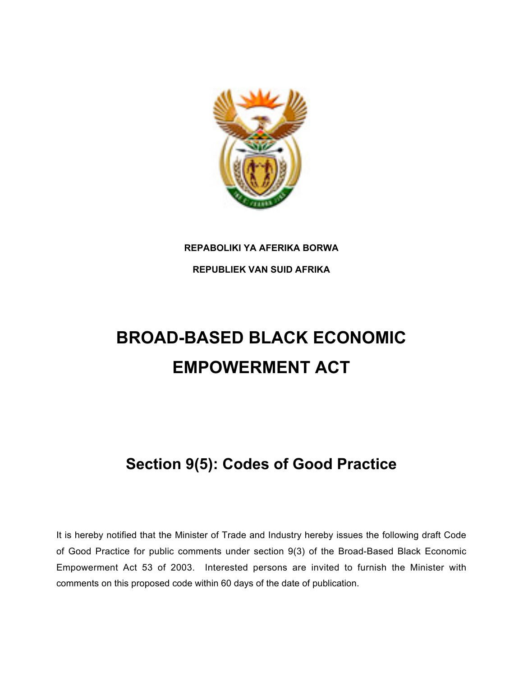

# **REPABOLIKI YA AFERIKA BORWA**

**REPUBLIEK VAN SUID AFRIKA**

# **BROAD-BASED BLACK ECONOMIC EMPOWERMENT ACT**

# **Section 9(5): Codes of Good Practice**

It is hereby notified that the Minister of Trade and Industry hereby issues the following draft Code of Good Practice for public comments under section 9(3) of the Broad-Based Black Economic Empowerment Act 53 of 2003. Interested persons are invited to furnish the Minister with comments on this proposed code within 60 days of the date of publication.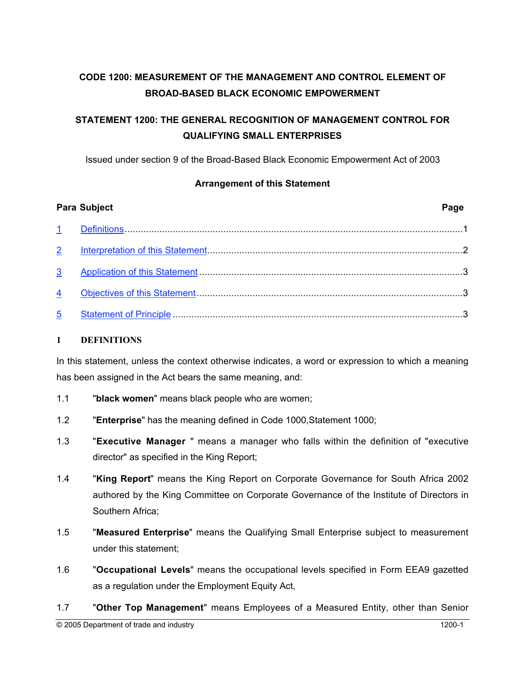## **CODE 1200: MEASUREMENT OF THE MANAGEMENT AND CONTROL ELEMENT OF BROAD-BASED BLACK ECONOMIC EMPOWERMENT**

### **STATEMENT 1200: THE GENERAL RECOGNITION OF MANAGEMENT CONTROL FOR QUALIFYING SMALL ENTERPRISES**

Issued under section 9 of the Broad-Based Black Economic Empowerment Act of 2003

#### **Arrangement of this Statement**

|                | <b>Para Subject</b> | Page |
|----------------|---------------------|------|
|                |                     |      |
| 2 <sup>7</sup> |                     |      |
| 3 <sup>7</sup> |                     |      |
| 4              |                     |      |
| 5              |                     |      |

#### **1 DEFINITIONS**

In this statement, unless the context otherwise indicates, a word or expression to which a meaning has been assigned in the Act bears the same meaning, and:

- 1.1 "**black women**" means black people who are women;
- 1.2 "**Enterprise**" has the meaning defined in Code 1000,Statement 1000;
- 1.3 "**Executive Manager** " means a manager who falls within the definition of "executive director" as specified in the King Report;
- 1.4 "**King Report**" means the King Report on Corporate Governance for South Africa 2002 authored by the King Committee on Corporate Governance of the Institute of Directors in Southern Africa;
- 1.5 "**Measured Enterprise**" means the Qualifying Small Enterprise subject to measurement under this statement;
- 1.6 "**Occupational Levels**" means the occupational levels specified in Form EEA9 gazetted as a regulation under the Employment Equity Act,
- 1.7 "**Other Top Management**" means Employees of a Measured Entity, other than Senior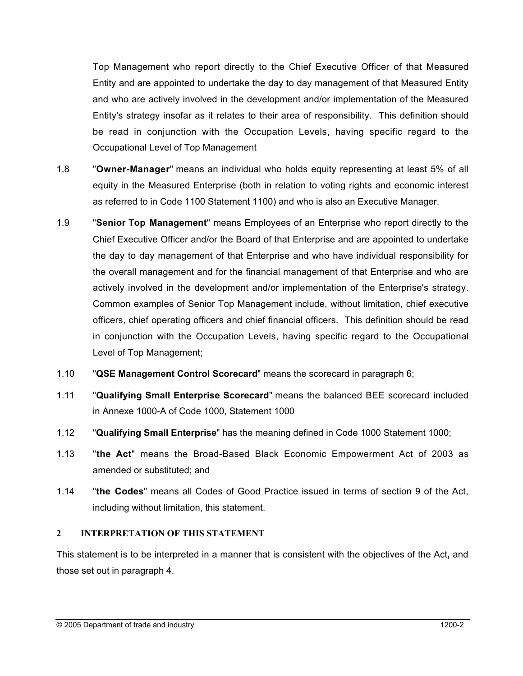Top Management who report directly to the Chief Executive Officer of that Measured Entity and are appointed to undertake the day to day management of that Measured Entity and who are actively involved in the development and/or implementation of the Measured Entity's strategy insofar as it relates to their area of responsibility. This definition should be read in conjunction with the Occupation Levels, having specific regard to the Occupational Level of Top Management

- 1.8 "**Owner-Manager**" means an individual who holds equity representing at least 5% of all equity in the Measured Enterprise (both in relation to voting rights and economic interest as referred to in Code 1100 Statement 1100) and who is also an Executive Manager.
- 1.9 "**Senior Top Management**" means Employees of an Enterprise who report directly to the Chief Executive Officer and/or the Board of that Enterprise and are appointed to undertake the day to day management of that Enterprise and who have individual responsibility for the overall management and for the financial management of that Enterprise and who are actively involved in the development and/or implementation of the Enterprise's strategy. Common examples of Senior Top Management include, without limitation, chief executive officers, chief operating officers and chief financial officers. This definition should be read in conjunction with the Occupation Levels, having specific regard to the Occupational Level of Top Management;
- 1.10 "**QSE Management Control Scorecard**" means the scorecard in paragraph 6;
- 1.11 "**Qualifying Small Enterprise Scorecard**" means the balanced BEE scorecard included in Annexe 1000-A of Code 1000, Statement 1000
- 1.12 "**Qualifying Small Enterprise**" has the meaning defined in Code 1000 Statement 1000;
- 1.13 "**the Act**" means the Broad-Based Black Economic Empowerment Act of 2003 as amended or substituted; and
- 1.14 "**the Codes**" means all Codes of Good Practice issued in terms of section 9 of the Act, including without limitation, this statement.

#### **2 INTERPRETATION OF THIS STATEMENT**

This statement is to be interpreted in a manner that is consistent with the objectives of the Act**,** and those set out in paragraph 4.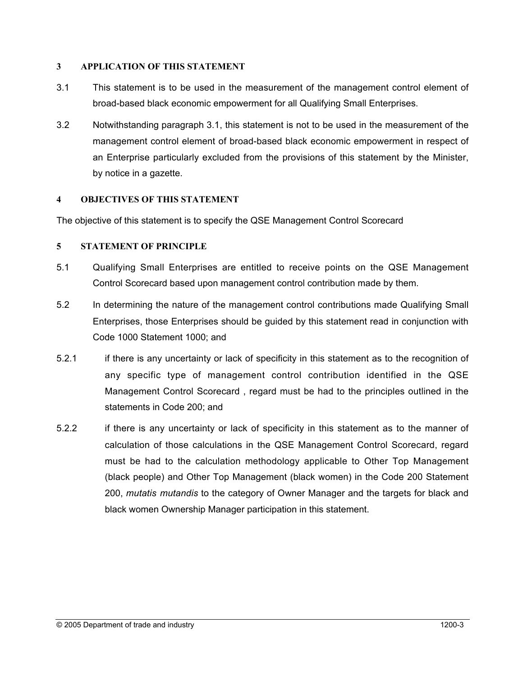#### **3 APPLICATION OF THIS STATEMENT**

- 3.1 This statement is to be used in the measurement of the management control element of broad-based black economic empowerment for all Qualifying Small Enterprises.
- 3.2 Notwithstanding paragraph 3.1, this statement is not to be used in the measurement of the management control element of broad-based black economic empowerment in respect of an Enterprise particularly excluded from the provisions of this statement by the Minister, by notice in a gazette.

#### **4 OBJECTIVES OF THIS STATEMENT**

The objective of this statement is to specify the QSE Management Control Scorecard

#### **5 STATEMENT OF PRINCIPLE**

- 5.1 Qualifying Small Enterprises are entitled to receive points on the QSE Management Control Scorecard based upon management control contribution made by them.
- 5.2 In determining the nature of the management control contributions made Qualifying Small Enterprises, those Enterprises should be guided by this statement read in conjunction with Code 1000 Statement 1000; and
- 5.2.1 if there is any uncertainty or lack of specificity in this statement as to the recognition of any specific type of management control contribution identified in the QSE Management Control Scorecard , regard must be had to the principles outlined in the statements in Code 200; and
- 5.2.2 if there is any uncertainty or lack of specificity in this statement as to the manner of calculation of those calculations in the QSE Management Control Scorecard, regard must be had to the calculation methodology applicable to Other Top Management (black people) and Other Top Management (black women) in the Code 200 Statement 200, *mutatis mutandis* to the category of Owner Manager and the targets for black and black women Ownership Manager participation in this statement.